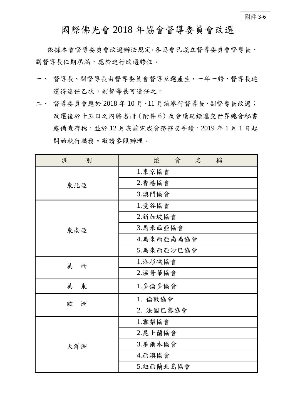國際佛光會 2018 年協會督導委員會改選

依據本會督導委員會改選辦法規定,各協會已成立督導委員會督導長、 副督導長任期屆滿,應於進行改選聘任。

- 一、 督導長、副督導長由督導委員會督導互選產生,一年一聘,督導長連 選得連任乙次,副督導長可連任之。
- 二、 督導委員會應於 2018 年 10 月、11 月前舉行督導長、副督導長改選; 改選後於十五日之內將名冊(附件 6)及會議紀錄遞交世界總會秘書 處備查存檔,並於 12 月底前完成會務移交手續,2019 年 1 月 1 日起 開始執行職務。敬請參照辦理。

| 洲<br>別 | 會<br>協<br>名<br>稱 |
|--------|------------------|
| 東北亞    | 1.東京協會           |
|        | 2.香港協會           |
|        | 3.澳門協會           |
| 東南亞    | 1.曼谷協會           |
|        | 2.新加坡協會          |
|        | 3.馬來西亞協會         |
|        | 4.馬來西亞南馬協會       |
|        | 5.馬來西亞沙巴協會       |
| 美<br>西 | 1.洛杉磯協會          |
|        | 2.溫哥華協會          |
| 美<br>東 | 1.多倫多協會          |
| 歐<br>洲 | 1. 倫敦協會          |
|        | 2. 法國巴黎協會        |
| 大洋洲    | 1. 雪梨協會          |
|        | 2.昆士蘭協會          |
|        | 3.墨爾本協會          |
|        | 4.西澳協會           |
|        | 5.紐西蘭北島協會        |